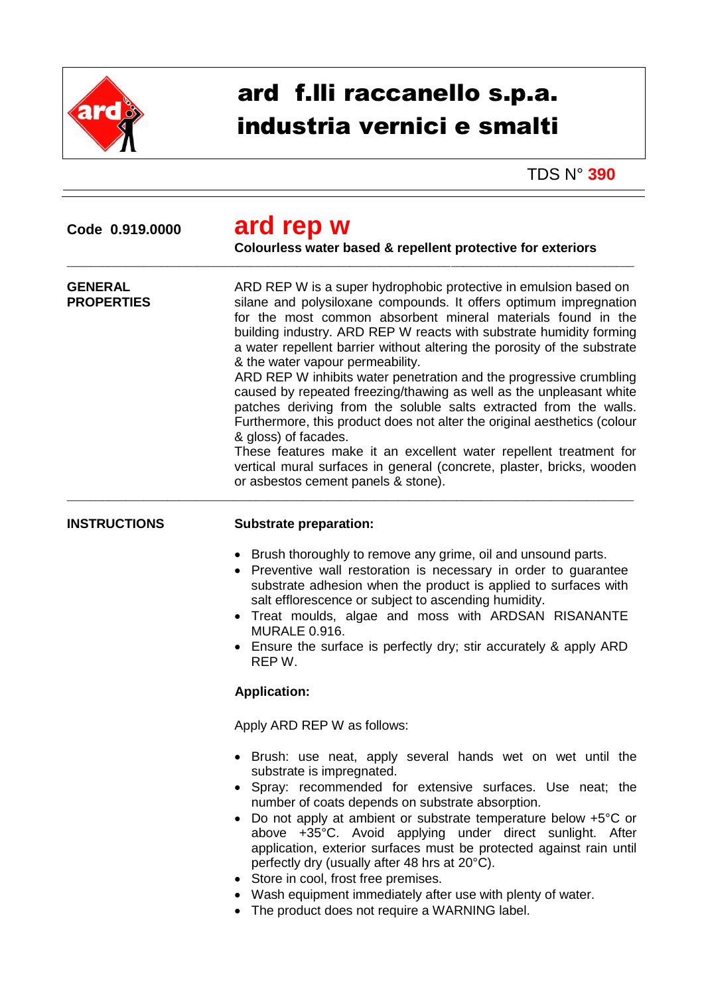

## ard f.lli raccanello s.p.a. industria vernici e smalti

TDS N° **390**

| Code 0.919.0000 |  |
|-----------------|--|
|                 |  |

## **Code 0.919.0000 ard rep w**

\_\_\_\_\_\_\_\_\_\_\_\_\_\_\_\_\_\_\_\_\_\_\_\_\_\_\_\_\_\_\_\_\_\_\_\_\_\_\_\_\_\_\_\_\_\_\_\_\_\_\_\_\_\_\_\_\_\_\_\_\_\_\_\_\_\_\_\_\_\_\_\_\_\_\_\_\_\_\_\_\_\_\_\_\_\_\_\_\_\_\_\_\_\_\_\_

**Colourless water based & repellent protective for exteriors**

| <b>GENERAL</b><br><b>PROPERTIES</b> | ARD REP W is a super hydrophobic protective in emulsion based on<br>silane and polysiloxane compounds. It offers optimum impregnation<br>for the most common absorbent mineral materials found in the<br>building industry. ARD REP W reacts with substrate humidity forming<br>a water repellent barrier without altering the porosity of the substrate<br>& the water vapour permeability.<br>ARD REP W inhibits water penetration and the progressive crumbling<br>caused by repeated freezing/thawing as well as the unpleasant white<br>patches deriving from the soluble salts extracted from the walls.<br>Furthermore, this product does not alter the original aesthetics (colour<br>& gloss) of facades.<br>These features make it an excellent water repellent treatment for<br>vertical mural surfaces in general (concrete, plaster, bricks, wooden<br>or asbestos cement panels & stone). |
|-------------------------------------|---------------------------------------------------------------------------------------------------------------------------------------------------------------------------------------------------------------------------------------------------------------------------------------------------------------------------------------------------------------------------------------------------------------------------------------------------------------------------------------------------------------------------------------------------------------------------------------------------------------------------------------------------------------------------------------------------------------------------------------------------------------------------------------------------------------------------------------------------------------------------------------------------------|
| <b>INSTRUCTIONS</b>                 | <b>Substrate preparation:</b><br>Brush thoroughly to remove any grime, oil and unsound parts.<br>• Preventive wall restoration is necessary in order to guarantee<br>substrate adhesion when the product is applied to surfaces with<br>salt efflorescence or subject to ascending humidity.<br>• Treat moulds, algae and moss with ARDSAN RISANANTE<br><b>MURALE 0.916.</b><br>Ensure the surface is perfectly dry; stir accurately & apply ARD<br>REP W.                                                                                                                                                                                                                                                                                                                                                                                                                                              |
|                                     | <b>Application:</b>                                                                                                                                                                                                                                                                                                                                                                                                                                                                                                                                                                                                                                                                                                                                                                                                                                                                                     |
|                                     | Apply ARD REP W as follows:                                                                                                                                                                                                                                                                                                                                                                                                                                                                                                                                                                                                                                                                                                                                                                                                                                                                             |
|                                     | • Brush: use neat, apply several hands wet on wet until the<br>substrate is impregnated.<br>• Spray: recommended for extensive surfaces. Use neat; the<br>number of coats depends on substrate absorption.<br>Do not apply at ambient or substrate temperature below +5°C or<br>above +35°C. Avoid applying under direct sunlight. After                                                                                                                                                                                                                                                                                                                                                                                                                                                                                                                                                                |

- application, exterior surfaces must be protected against rain until perfectly dry (usually after 48 hrs at 20°C).
- Store in cool, frost free premises.
- Wash equipment immediately after use with plenty of water.
- The product does not require a WARNING label.